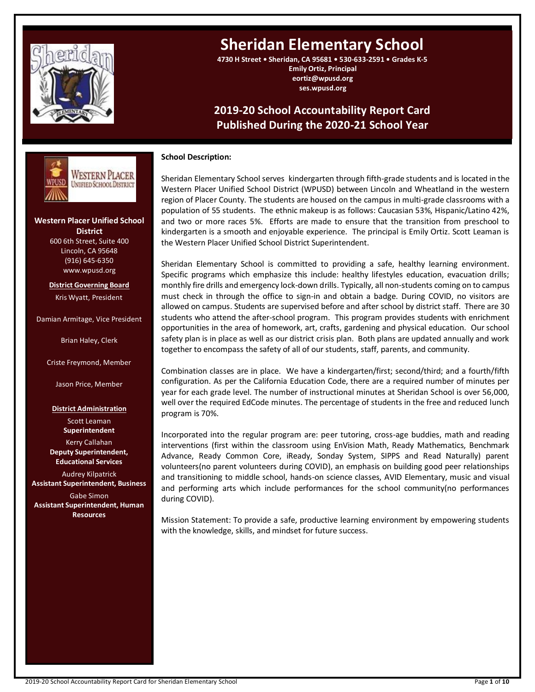

# **Sheridan Elementary School**

**4730 H Street • Sheridan, CA 95681 • 530-633-2591 • Grades K-5 Emily Ortiz, Principal eortiz@wpusd.org ses.wpusd.org**

## **2019-20 School Accountability Report Card Published During the 2020-21 School Year**

#### **School Description:**

Sheridan Elementary School serves kindergarten through fifth-grade students and is located in the Western Placer Unified School District (WPUSD) between Lincoln and Wheatland in the western region of Placer County. The students are housed on the campus in multi-grade classrooms with a population of 55 students. The ethnic makeup is as follows: Caucasian 53%, Hispanic/Latino 42%, and two or more races 5%. Efforts are made to ensure that the transition from preschool to kindergarten is a smooth and enjoyable experience. The principal is Emily Ortiz. Scott Leaman is the Western Placer Unified School District Superintendent.

Sheridan Elementary School is committed to providing a safe, healthy learning environment. Specific programs which emphasize this include: healthy lifestyles education, evacuation drills; monthly fire drills and emergency lock-down drills. Typically, all non-students coming on to campus must check in through the office to sign-in and obtain a badge. During COVID, no visitors are allowed on campus. Students are supervised before and after school by district staff. There are 30 students who attend the after-school program. This program provides students with enrichment opportunities in the area of homework, art, crafts, gardening and physical education. Our school safety plan is in place as well as our district crisis plan. Both plans are updated annually and work together to encompass the safety of all of our students, staff, parents, and community.

Combination classes are in place. We have a kindergarten/first; second/third; and a fourth/fifth configuration. As per the California Education Code, there are a required number of minutes per year for each grade level. The number of instructional minutes at Sheridan School is over 56,000, well over the required EdCode minutes. The percentage of students in the free and reduced lunch program is 70%.

Incorporated into the regular program are: peer tutoring, cross-age buddies, math and reading interventions (first within the classroom using EnVision Math, Ready Mathematics, Benchmark Advance, Ready Common Core, iReady, Sonday System, SIPPS and Read Naturally) parent volunteers(no parent volunteers during COVID), an emphasis on building good peer relationships and transitioning to middle school, hands-on science classes, AVID Elementary, music and visual and performing arts which include performances for the school community(no performances during COVID).

Mission Statement: To provide a safe, productive learning environment by empowering students with the knowledge, skills, and mindset for future success.

**Western Placer Unified School District** 600 6th Street, Suite 400 Lincoln, CA 95648 (916) 645-6350 www.wpusd.org

**---- ---**

WESTERN PLACER **UNIFIED SCHOOL DISTRICT** 

**District Governing Board** Kris Wyatt, President

Damian Armitage, Vice President

Brian Haley, Clerk

Criste Freymond, Member

Jason Price, Member

**District Administration**

Scott Leaman **Superintendent** Kerry Callahan **Deputy Superintendent, Educational Services** Audrey Kilpatrick

**Assistant Superintendent, Business** Gabe Simon **Assistant Superintendent, Human Resources**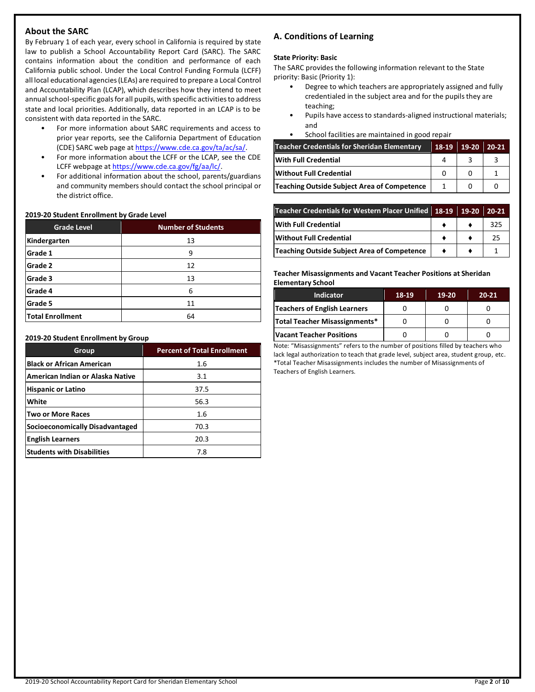## **About the SARC**

By February 1 of each year, every school in California is required by state law to publish a School Accountability Report Card (SARC). The SARC contains information about the condition and performance of each California public school. Under the Local Control Funding Formula (LCFF) all local educational agencies (LEAs) are required to prepare a Local Control and Accountability Plan (LCAP), which describes how they intend to meet annual school-specific goals for all pupils, with specific activities to address state and local priorities. Additionally, data reported in an LCAP is to be consistent with data reported in the SARC.

- For more information about SARC requirements and access to prior year reports, see the California Department of Education (CDE) SARC web page at [https://www.cde.ca.gov/ta/ac/sa/.](https://www.cde.ca.gov/ta/ac/sa/)
- For more information about the LCFF or the LCAP, see the CDE LCFF webpage a[t https://www.cde.ca.gov/fg/aa/lc/.](https://www.cde.ca.gov/fg/aa/lc/)
- For additional information about the school, parents/guardians and community members should contact the school principal or the district office.

#### **2019-20 Student Enrollment by Grade Level**

| <b>Grade Level</b>      | <b>Number of Students</b> |  |  |  |
|-------------------------|---------------------------|--|--|--|
| Kindergarten            | 13                        |  |  |  |
| Grade 1                 | 9                         |  |  |  |
| Grade 2                 | 12                        |  |  |  |
| Grade 3                 | 13                        |  |  |  |
| Grade 4                 | 6                         |  |  |  |
| Grade 5                 | 11                        |  |  |  |
| <b>Total Enrollment</b> | 64                        |  |  |  |

#### **2019-20 Student Enrollment by Group**

| Group                             | <b>Percent of Total Enrollment</b> |
|-----------------------------------|------------------------------------|
| <b>Black or African American</b>  | 1.6                                |
| American Indian or Alaska Native  | 3.1                                |
| <b>Hispanic or Latino</b>         | 37.5                               |
| White                             | 56.3                               |
| <b>Two or More Races</b>          | 1.6                                |
| Socioeconomically Disadvantaged   | 70.3                               |
| <b>English Learners</b>           | 20.3                               |
| <b>Students with Disabilities</b> | 7.8                                |

## **A. Conditions of Learning**

#### **State Priority: Basic**

The SARC provides the following information relevant to the State priority: Basic (Priority 1):

- Degree to which teachers are appropriately assigned and fully credentialed in the subject area and for the pupils they are teaching;
- Pupils have access to standards-aligned instructional materials; and
- School facilities are maintained in good repair

| <b>Teacher Credentials for Sheridan Elementary</b> | 18-19 | $19-20$ | $20 - 21$ |
|----------------------------------------------------|-------|---------|-----------|
| With Full Credential                               |       |         |           |
| <b>Without Full Credential</b>                     |       |         |           |
| Teaching Outside Subject Area of Competence        |       |         |           |

| Teacher Credentials for Western Placer Unified 18-19 19-20 20-21 |  |     |
|------------------------------------------------------------------|--|-----|
| <b>With Full Credential</b>                                      |  | 325 |
| <b>Without Full Credential</b>                                   |  | 25  |
| Teaching Outside Subject Area of Competence                      |  |     |

**Teacher Misassignments and Vacant Teacher Positions at Sheridan Elementary School**

| <b>Indicator</b>              | 18-19 | $19-20$ | $20 - 21$ |
|-------------------------------|-------|---------|-----------|
| Teachers of English Learners  |       |         |           |
| Total Teacher Misassignments* |       |         |           |
| Vacant Teacher Positions      |       |         |           |

Note: "Misassignments" refers to the number of positions filled by teachers who lack legal authorization to teach that grade level, subject area, student group, etc. \*Total Teacher Misassignments includes the number of Misassignments of Teachers of English Learners.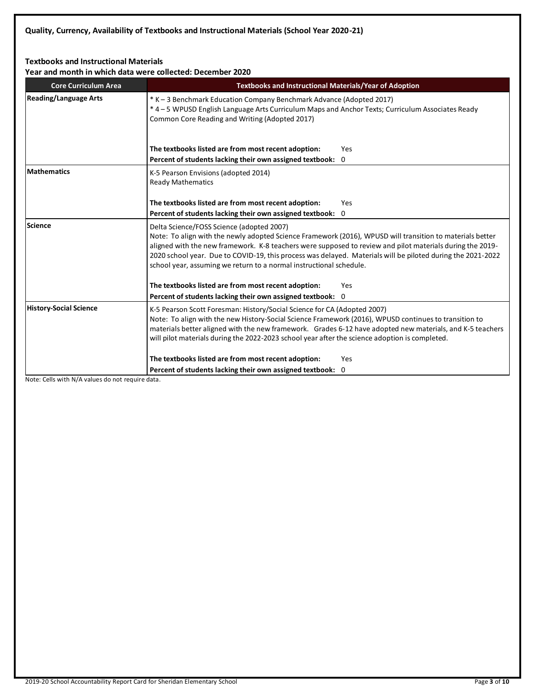## **Textbooks and Instructional Materials**

**Year and month in which data were collected: December 2020**

| <b>Core Curriculum Area</b>   | <b>Textbooks and Instructional Materials/Year of Adoption</b>                                                                                                                                                                                                                                                                                                                                                                                             |  |  |  |  |
|-------------------------------|-----------------------------------------------------------------------------------------------------------------------------------------------------------------------------------------------------------------------------------------------------------------------------------------------------------------------------------------------------------------------------------------------------------------------------------------------------------|--|--|--|--|
| <b>Reading/Language Arts</b>  | * K - 3 Benchmark Education Company Benchmark Advance (Adopted 2017)<br>*4 – 5 WPUSD English Language Arts Curriculum Maps and Anchor Texts; Curriculum Associates Ready<br>Common Core Reading and Writing (Adopted 2017)                                                                                                                                                                                                                                |  |  |  |  |
|                               | The textbooks listed are from most recent adoption:<br>Yes                                                                                                                                                                                                                                                                                                                                                                                                |  |  |  |  |
|                               | Percent of students lacking their own assigned textbook: 0                                                                                                                                                                                                                                                                                                                                                                                                |  |  |  |  |
| <b>Mathematics</b>            | K-5 Pearson Envisions (adopted 2014)<br><b>Ready Mathematics</b>                                                                                                                                                                                                                                                                                                                                                                                          |  |  |  |  |
|                               | The textbooks listed are from most recent adoption:<br>Yes                                                                                                                                                                                                                                                                                                                                                                                                |  |  |  |  |
|                               | Percent of students lacking their own assigned textbook: 0                                                                                                                                                                                                                                                                                                                                                                                                |  |  |  |  |
| Science                       | Delta Science/FOSS Science (adopted 2007)<br>Note: To align with the newly adopted Science Framework (2016), WPUSD will transition to materials better<br>aligned with the new framework. K-8 teachers were supposed to review and pilot materials during the 2019-<br>2020 school year. Due to COVID-19, this process was delayed. Materials will be piloted during the 2021-2022<br>school year, assuming we return to a normal instructional schedule. |  |  |  |  |
|                               | The textbooks listed are from most recent adoption:<br>Yes                                                                                                                                                                                                                                                                                                                                                                                                |  |  |  |  |
|                               | Percent of students lacking their own assigned textbook: 0                                                                                                                                                                                                                                                                                                                                                                                                |  |  |  |  |
| <b>History-Social Science</b> | K-5 Pearson Scott Foresman: History/Social Science for CA (Adopted 2007)<br>Note: To align with the new History-Social Science Framework (2016), WPUSD continues to transition to<br>materials better aligned with the new framework. Grades 6-12 have adopted new materials, and K-5 teachers<br>will pilot materials during the 2022-2023 school year after the science adoption is completed.                                                          |  |  |  |  |
|                               | The textbooks listed are from most recent adoption:<br><b>Yes</b>                                                                                                                                                                                                                                                                                                                                                                                         |  |  |  |  |
|                               | Percent of students lacking their own assigned textbook: 0                                                                                                                                                                                                                                                                                                                                                                                                |  |  |  |  |

Note: Cells with N/A values do not require data.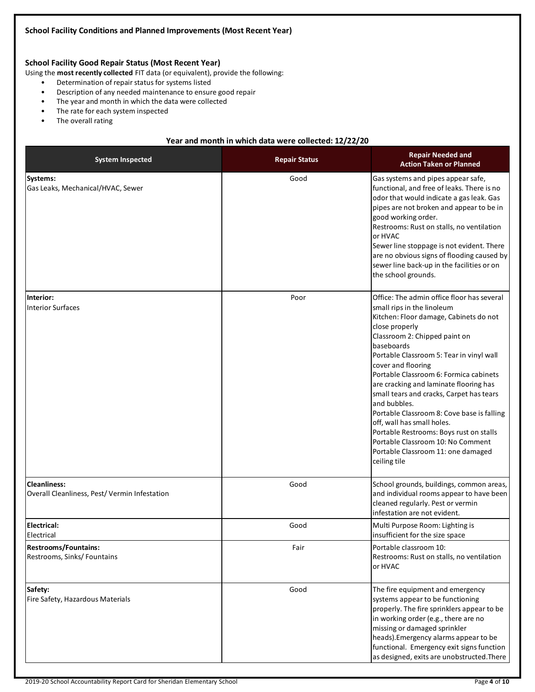## **School Facility Good Repair Status (Most Recent Year)**

Using the **most recently collected** FIT data (or equivalent), provide the following:

- Determination of repair status for systems listed
- Description of any needed maintenance to ensure good repair
- The year and month in which the data were collected
- The rate for each system inspected
- The overall rating

#### **Year and month in which data were collected: 12/22/20**

| <b>System Inspected</b>                                             | <b>Repair Status</b> | <b>Repair Needed and</b><br><b>Action Taken or Planned</b>                                                                                                                                                                                                                                                                                                                                                                                                                                                                                                                                                              |
|---------------------------------------------------------------------|----------------------|-------------------------------------------------------------------------------------------------------------------------------------------------------------------------------------------------------------------------------------------------------------------------------------------------------------------------------------------------------------------------------------------------------------------------------------------------------------------------------------------------------------------------------------------------------------------------------------------------------------------------|
| Systems:<br>Gas Leaks, Mechanical/HVAC, Sewer                       | Good                 | Gas systems and pipes appear safe,<br>functional, and free of leaks. There is no<br>odor that would indicate a gas leak. Gas<br>pipes are not broken and appear to be in<br>good working order.<br>Restrooms: Rust on stalls, no ventilation<br>or HVAC<br>Sewer line stoppage is not evident. There<br>are no obvious signs of flooding caused by<br>sewer line back-up in the facilities or on<br>the school grounds.                                                                                                                                                                                                 |
| Interior:<br>Interior Surfaces                                      | Poor                 | Office: The admin office floor has several<br>small rips in the linoleum<br>Kitchen: Floor damage, Cabinets do not<br>close properly<br>Classroom 2: Chipped paint on<br>baseboards<br>Portable Classroom 5: Tear in vinyl wall<br>cover and flooring<br>Portable Classroom 6: Formica cabinets<br>are cracking and laminate flooring has<br>small tears and cracks, Carpet has tears<br>and bubbles.<br>Portable Classroom 8: Cove base is falling<br>off, wall has small holes.<br>Portable Restrooms: Boys rust on stalls<br>Portable Classroom 10: No Comment<br>Portable Classroom 11: one damaged<br>ceiling tile |
| <b>Cleanliness:</b><br>Overall Cleanliness, Pest/Vermin Infestation | Good                 | School grounds, buildings, common areas,<br>and individual rooms appear to have been<br>cleaned regularly. Pest or vermin<br>infestation are not evident.                                                                                                                                                                                                                                                                                                                                                                                                                                                               |
| <b>Electrical:</b><br>Electrical                                    | Good                 | Multi Purpose Room: Lighting is<br>insufficient for the size space                                                                                                                                                                                                                                                                                                                                                                                                                                                                                                                                                      |
| <b>Restrooms/Fountains:</b><br>Restrooms, Sinks/Fountains           | Fair                 | Portable classroom 10:<br>Restrooms: Rust on stalls, no ventilation<br>or HVAC                                                                                                                                                                                                                                                                                                                                                                                                                                                                                                                                          |
| Safety:<br>Fire Safety, Hazardous Materials                         | Good                 | The fire equipment and emergency<br>systems appear to be functioning<br>properly. The fire sprinklers appear to be<br>in working order (e.g., there are no<br>missing or damaged sprinkler<br>heads). Emergency alarms appear to be<br>functional. Emergency exit signs function<br>as designed, exits are unobstructed. There                                                                                                                                                                                                                                                                                          |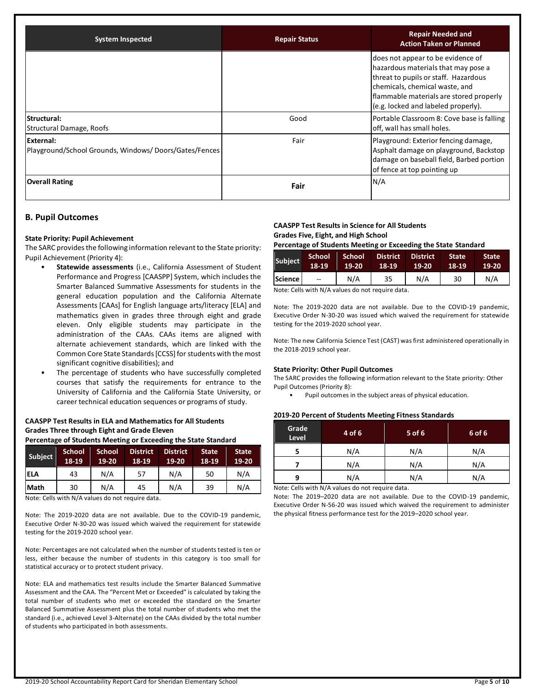| <b>System Inspected</b>                                            | <b>Repair Status</b> | <b>Repair Needed and</b><br><b>Action Taken or Planned</b>                                                                                                                                                                           |
|--------------------------------------------------------------------|----------------------|--------------------------------------------------------------------------------------------------------------------------------------------------------------------------------------------------------------------------------------|
|                                                                    |                      | does not appear to be evidence of<br>hazardous materials that may pose a<br>threat to pupils or staff. Hazardous<br>chemicals, chemical waste, and<br>flammable materials are stored properly<br>(e.g. locked and labeled properly). |
| Structural:<br>Structural Damage, Roofs                            | Good                 | Portable Classroom 8: Cove base is falling<br>off, wall has small holes.                                                                                                                                                             |
| External:<br>Playground/School Grounds, Windows/Doors/Gates/Fences | Fair                 | Playground: Exterior fencing damage,<br>Asphalt damage on playground, Backstop<br>damage on baseball field, Barbed portion<br>of fence at top pointing up                                                                            |
| <b>Overall Rating</b>                                              | Fair                 | N/A                                                                                                                                                                                                                                  |

#### **B. Pupil Outcomes**

#### **State Priority: Pupil Achievement**

The SARC provides the following information relevant to the State priority: Pupil Achievement (Priority 4):

- **Statewide assessments** (i.e., California Assessment of Student Performance and Progress [CAASPP] System, which includes the Smarter Balanced Summative Assessments for students in the general education population and the California Alternate Assessments [CAAs] for English language arts/literacy [ELA] and mathematics given in grades three through eight and grade eleven. Only eligible students may participate in the administration of the CAAs. CAAs items are aligned with alternate achievement standards, which are linked with the Common Core State Standards [CCSS] for students with the most significant cognitive disabilities); and
- The percentage of students who have successfully completed courses that satisfy the requirements for entrance to the University of California and the California State University, or career technical education sequences or programs of study.

## **CAASPP Test Results in ELA and Mathematics for All Students Grades Three through Eight and Grade Eleven**

**Percentage of Students Meeting or Exceeding the State Standard**

| <b>Subject</b> | <b>School</b><br>18-19 | <b>School</b><br>19-20 | <b>District</b><br>18-19 | <b>District</b><br>19-20 | <b>State</b><br>18-19 | <b>State</b><br>$19-20$ |
|----------------|------------------------|------------------------|--------------------------|--------------------------|-----------------------|-------------------------|
| <b>IELA</b>    | 43                     | N/A                    | 57                       | N/A                      | 50                    | N/A                     |
| <b>Math</b>    | 30                     | N/A                    | 45                       | N/A                      | 39                    | N/A                     |

Note: Cells with N/A values do not require data.

Note: The 2019-2020 data are not available. Due to the COVID-19 pandemic, Executive Order N-30-20 was issued which waived the requirement for statewide testing for the 2019-2020 school year.

Note: Percentages are not calculated when the number of students tested is ten or less, either because the number of students in this category is too small for statistical accuracy or to protect student privacy.

Note: ELA and mathematics test results include the Smarter Balanced Summative Assessment and the CAA. The "Percent Met or Exceeded" is calculated by taking the total number of students who met or exceeded the standard on the Smarter Balanced Summative Assessment plus the total number of students who met the standard (i.e., achieved Level 3-Alternate) on the CAAs divided by the total number of students who participated in both assessments.

## **CAASPP Test Results in Science for All Students Grades Five, Eight, and High School**

**Percentage of Students Meeting or Exceeding the State Standard**

| Subject | <b>School</b>            | School | <b>District</b> | District | <b>State</b> | <b>State</b> |
|---------|--------------------------|--------|-----------------|----------|--------------|--------------|
|         | 18-19                    | 19-20  | 18-19           | 19-20    | 18-19        | $19-20$      |
| Science | $\overline{\phantom{a}}$ | N/A    | 35              | N/A      | 30           | N/A          |

Note: Cells with N/A values do not require data.

Note: The 2019-2020 data are not available. Due to the COVID-19 pandemic, Executive Order N-30-20 was issued which waived the requirement for statewide testing for the 2019-2020 school year.

Note: The new California Science Test (CAST) was first administered operationally in the 2018-2019 school year.

#### **State Priority: Other Pupil Outcomes**

The SARC provides the following information relevant to the State priority: Other Pupil Outcomes (Priority 8):

• Pupil outcomes in the subject areas of physical education.

#### **2019-20 Percent of Students Meeting Fitness Standards**

| Grade<br><b>Level</b> | 4 of 6 | 5 of 6 | 6 of 6 |
|-----------------------|--------|--------|--------|
| 5                     | N/A    | N/A    | N/A    |
| N/A                   |        | N/A    | N/A    |
| q                     | N/A    | N/A    | N/A    |

Note: Cells with N/A values do not require data.

Note: The 2019–2020 data are not available. Due to the COVID-19 pandemic, Executive Order N-56-20 was issued which waived the requirement to administer the physical fitness performance test for the 2019–2020 school year.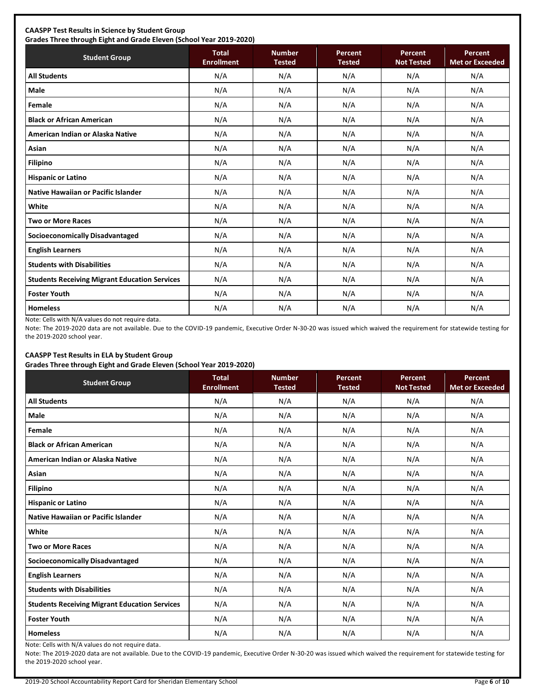## **CAASPP Test Results in Science by Student Group**

**Grades Three through Eight and Grade Eleven (School Year 2019-2020) Student Group Total Total Enrollment Number Tested Percent Tested Percent Not Tested Percent Met or Exceeded All Students** N/A N/A N/A N/A N/A **Male** N/A N/A N/A N/A N/A **Female** N/A N/A N/A N/A N/A **Black or African American** N/A N/A N/A N/A N/A **American Indian or Alaska Native** N/A N/A N/A N/A N/A **Asian** N/A N/A N/A N/A N/A **Filipino** N/A N/A N/A N/A N/A **Hispanic or Latino N/A N/A N/A N/A** N/A **Native Hawaiian or Pacific Islander**  $\begin{vmatrix} N/A & N/A & N/A & N/A \end{vmatrix}$  N/A N/A N/A N/A **White** N/A N/A N/A N/A N/A **Two or More Races** N/A N/A N/A N/A N/A **Socioeconomically Disadvantaged** N/A N/A N/A N/A N/A **English Learners** N/A N/A N/A N/A N/A **Students with Disabilities** N/A N/A N/A N/A N/A **Students Receiving Migrant Education Services | N/A | N/A | N/A | N/A | N/A | N/A Foster Youth** N/A N/A N/A N/A N/A **Homeless** N/A N/A N/A N/A N/A

Note: Cells with N/A values do not require data.

Note: The 2019-2020 data are not available. Due to the COVID-19 pandemic, Executive Order N-30-20 was issued which waived the requirement for statewide testing for the 2019-2020 school year.

## **CAASPP Test Results in ELA by Student Group**

**Grades Three through Eight and Grade Eleven (School Year 2019-2020)**

| <b>Student Group</b>                                 | - .<br><b>Total</b><br><b>Enrollment</b> | <b>Number</b><br><b>Tested</b> | <b>Percent</b><br><b>Tested</b> | Percent<br><b>Not Tested</b> | Percent<br><b>Met or Exceeded</b> |
|------------------------------------------------------|------------------------------------------|--------------------------------|---------------------------------|------------------------------|-----------------------------------|
| <b>All Students</b>                                  | N/A                                      | N/A                            | N/A                             | N/A                          | N/A                               |
| Male                                                 | N/A                                      | N/A                            | N/A                             | N/A                          | N/A                               |
| Female                                               | N/A                                      | N/A                            | N/A                             | N/A                          | N/A                               |
| <b>Black or African American</b>                     | N/A                                      | N/A                            | N/A                             | N/A                          | N/A                               |
| American Indian or Alaska Native                     | N/A                                      | N/A                            | N/A                             | N/A                          | N/A                               |
| Asian                                                | N/A                                      | N/A                            | N/A                             | N/A                          | N/A                               |
| <b>Filipino</b>                                      | N/A                                      | N/A                            | N/A                             | N/A                          | N/A                               |
| <b>Hispanic or Latino</b>                            | N/A                                      | N/A                            | N/A                             | N/A                          | N/A                               |
| Native Hawaiian or Pacific Islander                  | N/A                                      | N/A                            | N/A                             | N/A                          | N/A                               |
| White                                                | N/A                                      | N/A                            | N/A                             | N/A                          | N/A                               |
| <b>Two or More Races</b>                             | N/A                                      | N/A                            | N/A                             | N/A                          | N/A                               |
| <b>Socioeconomically Disadvantaged</b>               | N/A                                      | N/A                            | N/A                             | N/A                          | N/A                               |
| <b>English Learners</b>                              | N/A                                      | N/A                            | N/A                             | N/A                          | N/A                               |
| <b>Students with Disabilities</b>                    | N/A                                      | N/A                            | N/A                             | N/A                          | N/A                               |
| <b>Students Receiving Migrant Education Services</b> | N/A                                      | N/A                            | N/A                             | N/A                          | N/A                               |
| <b>Foster Youth</b>                                  | N/A                                      | N/A                            | N/A                             | N/A                          | N/A                               |
| <b>Homeless</b>                                      | N/A                                      | N/A                            | N/A                             | N/A                          | N/A                               |

Note: Cells with N/A values do not require data.

Note: The 2019-2020 data are not available. Due to the COVID-19 pandemic, Executive Order N-30-20 was issued which waived the requirement for statewide testing for the 2019-2020 school year.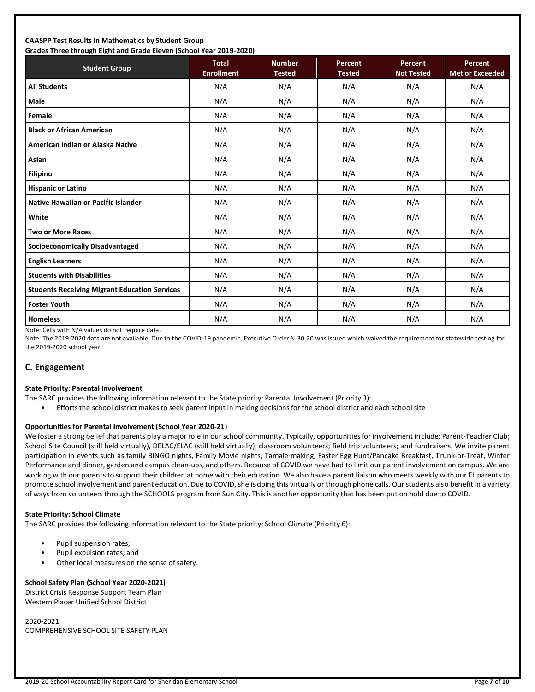#### **CAASPP Test Results in Mathematics by Student Group Grades Three through Eight and Grade Eleven (School Year 2019-2020)**

| Grades Timee through Eight and Grade Eleven (Schoor fear 2015-2020)<br><b>Student Group</b> | <b>Total</b><br><b>Enrollment</b> | <b>Number</b><br><b>Tested</b> | Percent<br><b>Tested</b> | Percent<br><b>Not Tested</b> | <b>Percent</b><br><b>Met or Exceeded</b> |
|---------------------------------------------------------------------------------------------|-----------------------------------|--------------------------------|--------------------------|------------------------------|------------------------------------------|
| <b>All Students</b>                                                                         | N/A                               | N/A                            | N/A                      | N/A                          | N/A                                      |
| <b>Male</b>                                                                                 | N/A                               | N/A                            | N/A                      | N/A                          | N/A                                      |
| Female                                                                                      | N/A                               | N/A                            | N/A                      | N/A                          | N/A                                      |
| <b>Black or African American</b>                                                            | N/A                               | N/A                            | N/A                      | N/A                          | N/A                                      |
| American Indian or Alaska Native                                                            | N/A                               | N/A                            | N/A                      | N/A                          | N/A                                      |
| Asian                                                                                       | N/A                               | N/A                            | N/A                      | N/A                          | N/A                                      |
| <b>Filipino</b>                                                                             | N/A                               | N/A                            | N/A                      | N/A                          | N/A                                      |
| <b>Hispanic or Latino</b>                                                                   | N/A                               | N/A                            | N/A                      | N/A                          | N/A                                      |
| <b>Native Hawaiian or Pacific Islander</b>                                                  | N/A                               | N/A                            | N/A                      | N/A                          | N/A                                      |
| White                                                                                       | N/A                               | N/A                            | N/A                      | N/A                          | N/A                                      |
| <b>Two or More Races</b>                                                                    | N/A                               | N/A                            | N/A                      | N/A                          | N/A                                      |
| <b>Socioeconomically Disadvantaged</b>                                                      | N/A                               | N/A                            | N/A                      | N/A                          | N/A                                      |
| <b>English Learners</b>                                                                     | N/A                               | N/A                            | N/A                      | N/A                          | N/A                                      |
| <b>Students with Disabilities</b>                                                           | N/A                               | N/A                            | N/A                      | N/A                          | N/A                                      |
| <b>Students Receiving Migrant Education Services</b>                                        | N/A                               | N/A                            | N/A                      | N/A                          | N/A                                      |
| <b>Foster Youth</b>                                                                         | N/A                               | N/A                            | N/A                      | N/A                          | N/A                                      |
| <b>Homeless</b>                                                                             | N/A                               | N/A                            | N/A                      | N/A                          | N/A                                      |

Note: Cells with N/A values do not require data.

Note: The 2019-2020 data are not available. Due to the COVID-19 pandemic, Executive Order N-30-20 was issued which waived the requirement for statewide testing for the 2019-2020 school year.

## **C. Engagement**

#### **State Priority: Parental Involvement**

- The SARC provides the following information relevant to the State priority: Parental Involvement (Priority 3):
	- Efforts the school district makes to seek parent input in making decisions for the school district and each school site

#### **Opportunities for Parental Involvement (School Year 2020-21)**

We foster a strong belief that parents play a major role in our school community. Typically, opportunities for involvement include: Parent-Teacher Club; School Site Council (still held virtually), DELAC/ELAC (still held virtually); classroom volunteers; field trip volunteers; and fundraisers. We invite parent participation in events such as family BINGO nights, Family Movie nights, Tamale making, Easter Egg Hunt/Pancake Breakfast, Trunk-or-Treat, Winter Performance and dinner, garden and campus clean-ups, and others. Because of COVID we have had to limit our parent involvement on campus. We are working with our parents to support their children at home with their education. We also have a parent liaison who meets weekly with our EL parents to promote school involvement and parent education. Due to COVID, she is doing this virtually or through phone calls. Our students also benefit in a variety of ways from volunteers through the SCHOOLS program from Sun City. This is another opportunity that has been put on hold due to COVID.

#### **State Priority: School Climate**

The SARC provides the following information relevant to the State priority: School Climate (Priority 6):

- Pupil suspension rates;
- Pupil expulsion rates; and
- Other local measures on the sense of safety.

#### **School Safety Plan (School Year 2020-2021)**

District Crisis Response Support Team Plan Western Placer Unified School District

2020-2021 COMPREHENSIVE SCHOOL SITE SAFETY PLAN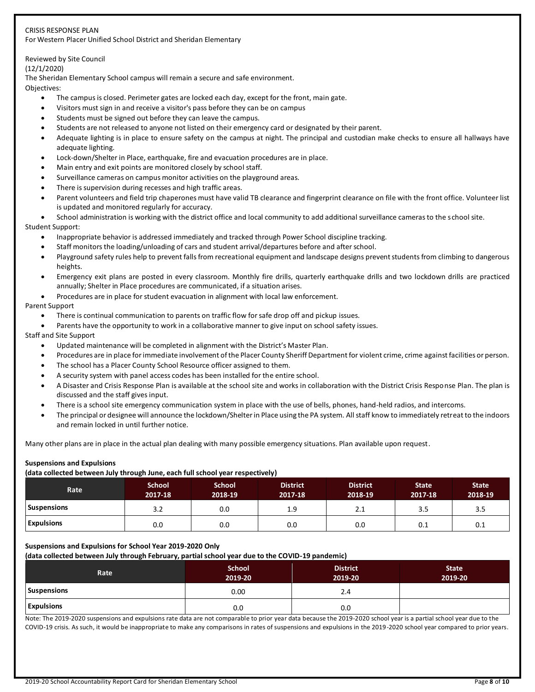#### CRISIS RESPONSE PLAN For Western Placer Unified School District and Sheridan Elementary

## Reviewed by Site Council

#### (12/1/2020)

The Sheridan Elementary School campus will remain a secure and safe environment.

Objectives:

- The campus is closed. Perimeter gates are locked each day, except for the front, main gate.
- Visitors must sign in and receive a visitor's pass before they can be on campus
- Students must be signed out before they can leave the campus.
- Students are not released to anyone not listed on their emergency card or designated by their parent.
- Adequate lighting is in place to ensure safety on the campus at night. The principal and custodian make checks to ensure all hallways have adequate lighting.
- Lock-down/Shelter in Place, earthquake, fire and evacuation procedures are in place.
- Main entry and exit points are monitored closely by school staff.
- Surveillance cameras on campus monitor activities on the playground areas.
- There is supervision during recesses and high traffic areas.
- Parent volunteers and field trip chaperones must have valid TB clearance and fingerprint clearance on file with the front office. Volunteer list is updated and monitored regularly for accuracy.

• School administration is working with the district office and local community to add additional surveillance cameras to the school site. Student Support:

- Inappropriate behavior is addressed immediately and tracked through Power School discipline tracking.
- Staff monitors the loading/unloading of cars and student arrival/departures before and after school.
- Playground safety rules help to prevent falls from recreational equipment and landscape designs prevent students from climbing to dangerous heights.
- Emergency exit plans are posted in every classroom. Monthly fire drills, quarterly earthquake drills and two lockdown drills are practiced annually; Shelter in Place procedures are communicated, if a situation arises.
- Procedures are in place for student evacuation in alignment with local law enforcement.

#### Parent Support

- There is continual communication to parents on traffic flow for safe drop off and pickup issues.
- Parents have the opportunity to work in a collaborative manner to give input on school safety issues.

Staff and Site Support

- Updated maintenance will be completed in alignment with the District's Master Plan.
- Procedures are in place for immediate involvement of the Placer County Sheriff Department for violent crime, crime against facilities or person.
- The school has a Placer County School Resource officer assigned to them.
- A security system with panel access codes has been installed for the entire school.
- A Disaster and Crisis Response Plan is available at the school site and works in collaboration with the District Crisis Response Plan. The plan is discussed and the staff gives input.
- There is a school site emergency communication system in place with the use of bells, phones, hand-held radios, and intercoms.
- The principal or designee will announce the lockdown/Shelter in Place using the PA system. All staff know to immediately retreat to the indoors and remain locked in until further notice.

Many other plans are in place in the actual plan dealing with many possible emergency situations. Plan available upon request.

#### **Suspensions and Expulsions**

**(data collected between July through June, each full school year respectively)**

| Rate               | <b>School</b><br>2017-18 | <b>School</b><br>2018-19 | .<br><b>District</b><br>2017-18 | <b>District</b><br>2018-19 | <b>State</b><br>2017-18 | <b>State</b><br>2018-19 |
|--------------------|--------------------------|--------------------------|---------------------------------|----------------------------|-------------------------|-------------------------|
| <b>Suspensions</b> | 3.2                      | 0.0                      | 1.9                             | 2.1                        | 3.5                     | 3.5                     |
| <b>Expulsions</b>  | 0.0                      | 0.0                      | 0.0                             | 0.0                        | 0.1                     | 0.1                     |

#### **Suspensions and Expulsions for School Year 2019-2020 Only**

**(data collected between July through February, partial school year due to the COVID-19 pandemic)**

| Rate               | <b>School</b><br>2019-20 | <b>District</b><br>2019-20 | <b>State</b><br>2019-20 |
|--------------------|--------------------------|----------------------------|-------------------------|
| <b>Suspensions</b> | 0.00                     | 2.4                        |                         |
| <b>Expulsions</b>  | 0.0                      | 0.0                        |                         |

Note: The 2019-2020 suspensions and expulsions rate data are not comparable to prior year data because the 2019-2020 school year is a partial school year due to the COVID-19 crisis. As such, it would be inappropriate to make any comparisons in rates of suspensions and expulsions in the 2019-2020 school year compared to prior years.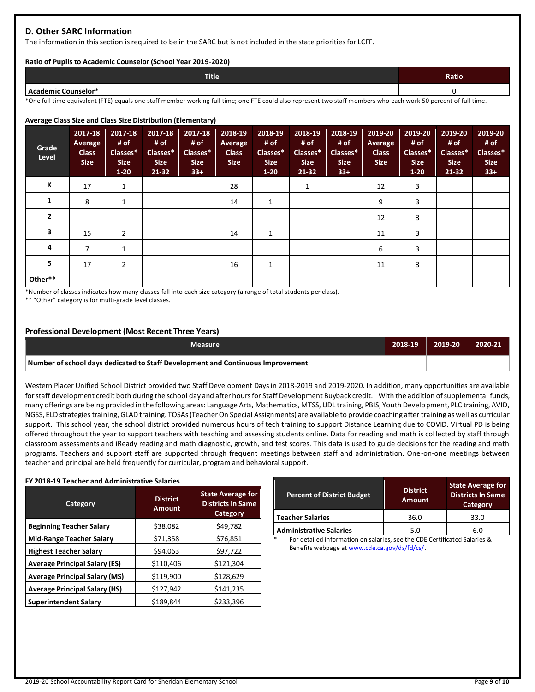## **D. Other SARC Information**

The information in this section is required to be in the SARC but is not included in the state priorities for LCFF.

#### **Ratio of Pupils to Academic Counselor (School Year 2019-2020)**

| <b>Title</b> | Ratio |
|--------------|-------|
| ົ Counselor* |       |

\*One full time equivalent (FTE) equals one staff member working full time; one FTE could also represent two staff members who each work 50 percent of full time.

#### **Average Class Size and Class Size Distribution (Elementary)**

| Grade<br>Level | 2017-18<br>Average<br><b>Class</b><br><b>Size</b> | 2017-18<br># of<br>Classes*<br><b>Size</b><br>$1 - 20$ | 2017-18<br># of<br>Classes*<br><b>Size</b><br>$21 - 32$ | 2017-18<br># of<br>Classes*<br><b>Size</b><br>$33+$ | 2018-19<br>Average<br><b>Class</b><br><b>Size</b> | 2018-19<br># of<br>Classes*<br><b>Size</b><br>$1-20$ | 2018-19<br># of<br>Classes*<br><b>Size</b><br>$21 - 32$ | 2018-19<br># of<br>Classes*<br><b>Size</b><br>$33+$ | 2019-20<br><b>Average</b><br><b>Class</b><br><b>Size</b> | 2019-20<br># of<br>Classes*<br><b>Size</b><br>$1-20$ | 2019-20<br># of<br>Classes*<br><b>Size</b><br>$21 - 32$ | 2019-20<br># of<br>Classes*<br><b>Size</b><br>$33+$ |
|----------------|---------------------------------------------------|--------------------------------------------------------|---------------------------------------------------------|-----------------------------------------------------|---------------------------------------------------|------------------------------------------------------|---------------------------------------------------------|-----------------------------------------------------|----------------------------------------------------------|------------------------------------------------------|---------------------------------------------------------|-----------------------------------------------------|
| К              | 17                                                | 1                                                      |                                                         |                                                     | 28                                                |                                                      | 1                                                       |                                                     | 12                                                       | 3                                                    |                                                         |                                                     |
| 1              | 8                                                 | 1                                                      |                                                         |                                                     | 14                                                | 1                                                    |                                                         |                                                     | 9                                                        | 3                                                    |                                                         |                                                     |
| $\overline{2}$ |                                                   |                                                        |                                                         |                                                     |                                                   |                                                      |                                                         |                                                     | 12                                                       | 3                                                    |                                                         |                                                     |
| 3              | 15                                                | $\overline{2}$                                         |                                                         |                                                     | 14                                                | 1                                                    |                                                         |                                                     | 11                                                       | 3                                                    |                                                         |                                                     |
| 4              | $\overline{ }$                                    | 1                                                      |                                                         |                                                     |                                                   |                                                      |                                                         |                                                     | 6                                                        | 3                                                    |                                                         |                                                     |
| 5              | 17                                                | $\overline{2}$                                         |                                                         |                                                     | 16                                                | $\overline{ }$                                       |                                                         |                                                     | 11                                                       | 3                                                    |                                                         |                                                     |
| Other**        |                                                   |                                                        |                                                         |                                                     |                                                   |                                                      |                                                         |                                                     |                                                          |                                                      |                                                         |                                                     |

\*Number of classes indicates how many classes fall into each size category (a range of total students per class).

\*\* "Other" category is for multi-grade level classes.

#### **Professional Development (Most Recent Three Years)**

| <b>Measure</b>                                                                  | 2018-19 | 2019-20 | 2020-21 |
|---------------------------------------------------------------------------------|---------|---------|---------|
| Number of school days dedicated to Staff Development and Continuous Improvement |         |         |         |

Western Placer Unified School District provided two Staff Development Days in 2018-2019 and 2019-2020. In addition, many opportunities are available for staff development credit both during the school day and after hours for Staff Development Buyback credit. With the addition of supplemental funds, many offerings are being provided in the following areas: Language Arts, Mathematics, MTSS, UDL training, PBIS, Youth Development, PLC training, AVID, NGSS, ELD strategies training, GLAD training. TOSAs (Teacher On Special Assignments) are available to provide coaching after training as well as curricular support. This school year, the school district provided numerous hours of tech training to support Distance Learning due to COVID. Virtual PD is being offered throughout the year to support teachers with teaching and assessing students online. Data for reading and math is col lected by staff through classroom assessments and iReady reading and math diagnostic, growth, and test scores. This data is used to guide decisions for the reading and math programs. Teachers and support staff are supported through frequent meetings between staff and administration. One-on-one meetings between teacher and principal are held frequently for curricular, program and behavioral support.

#### **FY 2018-19 Teacher and Administrative Salaries**

| Category                             | <b>District</b><br><b>Amount</b> | <b>State Average for</b><br><b>Districts In Same</b><br>Category |  |
|--------------------------------------|----------------------------------|------------------------------------------------------------------|--|
| <b>Beginning Teacher Salary</b>      | \$38,082                         | \$49,782                                                         |  |
| <b>Mid-Range Teacher Salary</b>      | \$71,358                         | \$76,851                                                         |  |
| <b>Highest Teacher Salary</b>        | \$94,063                         | \$97,722                                                         |  |
| <b>Average Principal Salary (ES)</b> | \$110,406                        | \$121,304                                                        |  |
| <b>Average Principal Salary (MS)</b> | \$119,900                        | \$128,629                                                        |  |
| <b>Average Principal Salary (HS)</b> | \$127,942                        | \$141,235                                                        |  |
| <b>Superintendent Salary</b>         | \$189,844                        | \$233,396                                                        |  |

| <b>Percent of District Budget</b> | <b>District</b><br><b>Amount</b> | <b>State Average for</b><br><b>Districts In Same</b><br>Category |  |
|-----------------------------------|----------------------------------|------------------------------------------------------------------|--|
| <b>Teacher Salaries</b>           | 36.0                             | 33.0                                                             |  |
| <b>Administrative Salaries</b>    | 5.0                              | 6.0                                                              |  |

For detailed information on salaries, see the CDE Certificated Salaries & Benefits webpage a[t www.cde.ca.gov/ds/fd/cs/.](http://www.cde.ca.gov/ds/fd/cs/)